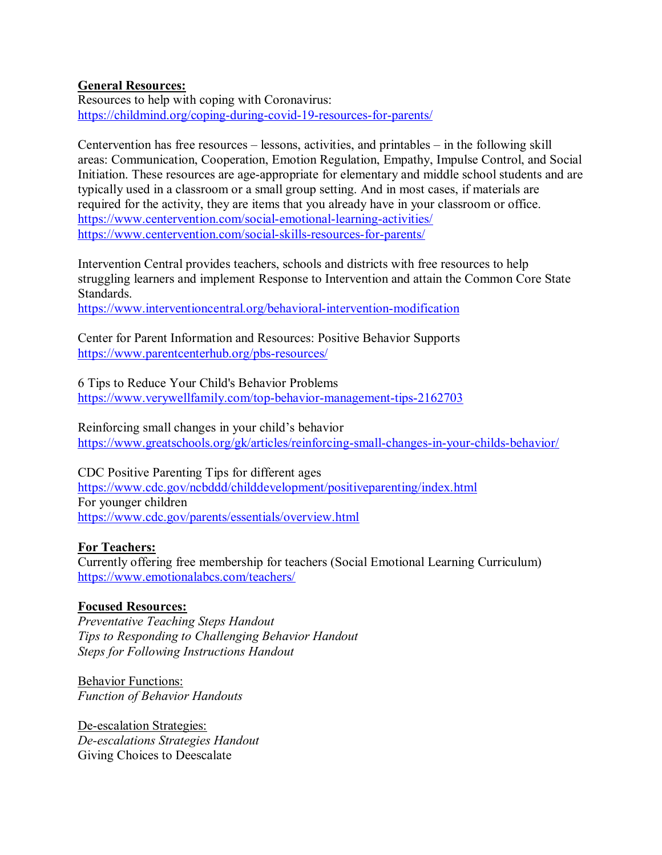### **General Resources:**

Resources to help with coping with Coronavirus: <https://childmind.org/coping-during-covid-19-resources-for-parents/>

Centervention has free resources – lessons, activities, and printables – in the following skill areas: Communication, Cooperation, Emotion Regulation, Empathy, Impulse Control, and Social Initiation. These resources are age-appropriate for elementary and middle school students and are typically used in a classroom or a small group setting. And in most cases, if materials are required for the activity, they are items that you already have in your classroom or office. <https://www.centervention.com/social-emotional-learning-activities/> <https://www.centervention.com/social-skills-resources-for-parents/>

Intervention Central provides teachers, schools and districts with free resources to help struggling learners and implement Response to Intervention and attain the Common Core State Standards.

<https://www.interventioncentral.org/behavioral-intervention-modification>

Center for Parent Information and Resources: Positive Behavior Supports <https://www.parentcenterhub.org/pbs-resources/>

6 Tips to Reduce Your Child's Behavior Problems <https://www.verywellfamily.com/top-behavior-management-tips-2162703>

Reinforcing small changes in your child's behavior <https://www.greatschools.org/gk/articles/reinforcing-small-changes-in-your-childs-behavior/>

CDC Positive Parenting Tips for different ages <https://www.cdc.gov/ncbddd/childdevelopment/positiveparenting/index.html> For younger children <https://www.cdc.gov/parents/essentials/overview.html>

#### **For Teachers:**

Currently offering free membership for teachers (Social Emotional Learning Curriculum) <https://www.emotionalabcs.com/teachers/>

## **Focused Resources:**

*Preventative Teaching Steps Handout Tips to Responding to Challenging Behavior Handout Steps for Following Instructions Handout*

Behavior Functions: *Function of Behavior Handouts*

De-escalation Strategies: *De-escalations Strategies Handout* Giving Choices to Deescalate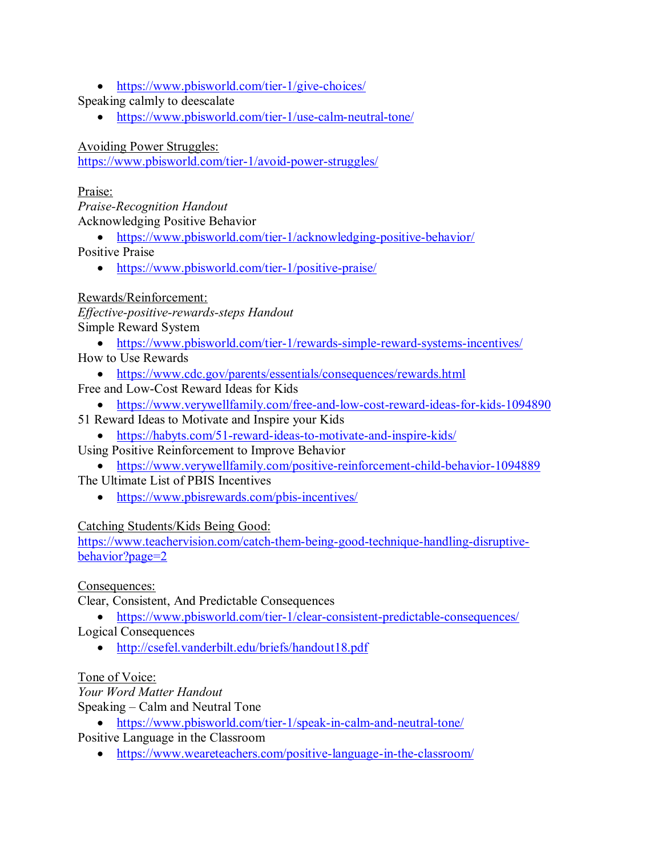• <https://www.pbisworld.com/tier-1/give-choices/>

Speaking calmly to deescalate

• <https://www.pbisworld.com/tier-1/use-calm-neutral-tone/>

Avoiding Power Struggles:

<https://www.pbisworld.com/tier-1/avoid-power-struggles/>

Praise:

*Praise-Recognition Handout* Acknowledging Positive Behavior

• <https://www.pbisworld.com/tier-1/acknowledging-positive-behavior/>

Positive Praise

• <https://www.pbisworld.com/tier-1/positive-praise/>

## Rewards/Reinforcement:

*Effective-positive-rewards-steps Handout* Simple Reward System

• <https://www.pbisworld.com/tier-1/rewards-simple-reward-systems-incentives/>

How to Use Rewards

- <https://www.cdc.gov/parents/essentials/consequences/rewards.html>
- Free and Low-Cost Reward Ideas for Kids
	- <https://www.verywellfamily.com/free-and-low-cost-reward-ideas-for-kids-1094890>
- 51 Reward Ideas to Motivate and Inspire your Kids
	- <https://habyts.com/51-reward-ideas-to-motivate-and-inspire-kids/>

Using Positive Reinforcement to Improve Behavior

• <https://www.verywellfamily.com/positive-reinforcement-child-behavior-1094889>

The Ultimate List of PBIS Incentives

• <https://www.pbisrewards.com/pbis-incentives/>

# Catching Students/Kids Being Good:

[https://www.teachervision.com/catch-them-being-good-technique-handling-disruptive](https://www.teachervision.com/catch-them-being-good-technique-handling-disruptive-behavior?page=2)[behavior?page=2](https://www.teachervision.com/catch-them-being-good-technique-handling-disruptive-behavior?page=2)

Consequences:

Clear, Consistent, And Predictable Consequences

• <https://www.pbisworld.com/tier-1/clear-consistent-predictable-consequences/>

Logical Consequences

• <http://csefel.vanderbilt.edu/briefs/handout18.pdf>

# Tone of Voice:

*Your Word Matter Handout* Speaking – Calm and Neutral Tone

• <https://www.pbisworld.com/tier-1/speak-in-calm-and-neutral-tone/>

Positive Language in the Classroom

• <https://www.weareteachers.com/positive-language-in-the-classroom/>